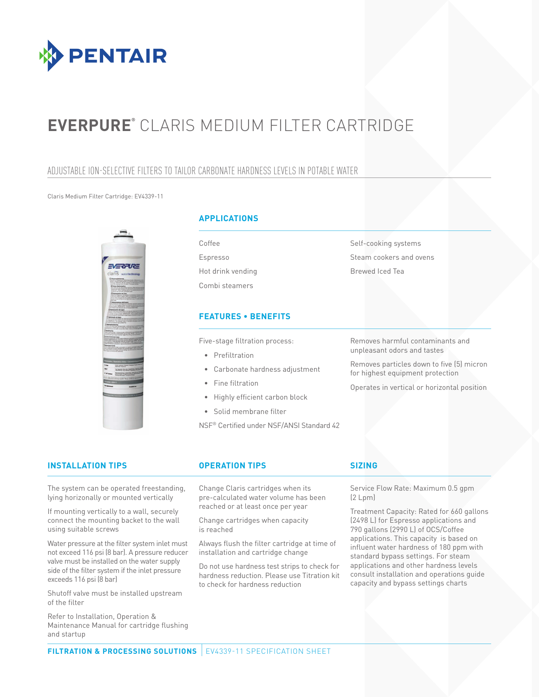

# **EVERPURE®** CLARIS MEDIUM FILTER CARTRIDGE

### ADJUSTABLE ION-SELECTIVE FILTERS TO TAILOR CARBONATE HARDNESS LEVELS IN POTABLE WATER

### Claris Medium Filter Cartridge: EV4339-11



### **APPLICATIONS**

Coffee Espresso Hot drink vending Combi steamers

### **FEATURES • BENEFITS**

Five-stage filtration process:

- Prefiltration
- Carbonate hardness adjustment
- Fine filtration
- Highly efficient carbon block
- Solid membrane filter

NSF® Certified under NSF/ANSI Standard 42

Removes harmful contaminants and unpleasant odors and tastes

Self-cooking systems Steam cookers and ovens

Brewed Iced Tea

Removes particles down to five (5) micron for highest equipment protection

Operates in vertical or horizontal position

### **INSTALLATION TIPS OPERATION TIPS SIZING**

The system can be operated freestanding, lying horizonally or mounted vertically

If mounting vertically to a wall, securely connect the mounting backet to the wall using suitable screws

Water pressure at the filter system inlet must not exceed 116 psi (8 bar). A pressure reducer valve must be installed on the water supply side of the filter system if the inlet pressure exceeds 116 psi (8 bar)

Shutoff valve must be installed upstream of the filter

Refer to Installation, Operation & Maintenance Manual for cartridge flushing and startup

Change Claris cartridges when its pre-calculated water volume has been reached or at least once per year

Change cartridges when capacity is reached

Always flush the filter cartridge at time of installation and cartridge change

Do not use hardness test strips to check for hardness reduction. Please use Titration kit to check for hardness reduction

Service Flow Rate: Maximum 0.5 gpm (2 Lpm)

Treatment Capacity: Rated for 660 gallons (2498 L) for Espresso applications and 790 gallons (2990 L) of OCS/Coffee applications. This capacity is based on influent water hardness of 180 ppm with standard bypass settings. For steam applications and other hardness levels consult installation and operations guide capacity and bypass settings charts